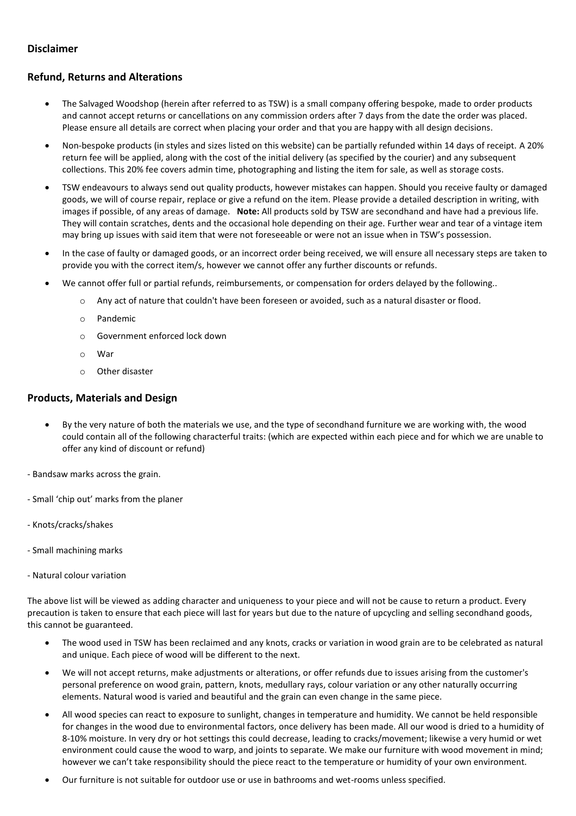## **Disclaimer**

# **Refund, Returns and Alterations**

- The Salvaged Woodshop (herein after referred to as TSW) is a small company offering bespoke, made to order products and cannot accept returns or cancellations on any commission orders after 7 days from the date the order was placed. Please ensure all details are correct when placing your order and that you are happy with all design decisions.
- Non-bespoke products (in styles and sizes listed on this website) can be partially refunded within 14 days of receipt. A 20% return fee will be applied, along with the cost of the initial delivery (as specified by the courier) and any subsequent collections. This 20% fee covers admin time, photographing and listing the item for sale, as well as storage costs.
- TSW endeavours to always send out quality products, however mistakes can happen. Should you receive faulty or damaged goods, we will of course repair, replace or give a refund on the item. Please provide a detailed description in writing, with images if possible, of any areas of damage. **Note:** All products sold by TSW are secondhand and have had a previous life. They will contain scratches, dents and the occasional hole depending on their age. Further wear and tear of a vintage item may bring up issues with said item that were not foreseeable or were not an issue when in TSW's possession.
- In the case of faulty or damaged goods, or an incorrect order being received, we will ensure all necessary steps are taken to provide you with the correct item/s, however we cannot offer any further discounts or refunds.
- We cannot offer full or partial refunds, reimbursements, or compensation for orders delayed by the following..
	- o Any act of nature that couldn't have been foreseen or avoided, such as a natural disaster or flood.
		- o Pandemic
		- o Government enforced lock down
		- o War
	- o Other disaster

## **Products, Materials and Design**

- By the very nature of both the materials we use, and the type of secondhand furniture we are working with, the wood could contain all of the following characterful traits: (which are expected within each piece and for which we are unable to offer any kind of discount or refund)
- Bandsaw marks across the grain.
- Small 'chip out' marks from the planer
- Knots/cracks/shakes
- Small machining marks
- Natural colour variation

The above list will be viewed as adding character and uniqueness to your piece and will not be cause to return a product. Every precaution is taken to ensure that each piece will last for years but due to the nature of upcycling and selling secondhand goods, this cannot be guaranteed.

- The wood used in TSW has been reclaimed and any knots, cracks or variation in wood grain are to be celebrated as natural and unique. Each piece of wood will be different to the next.
- We will not accept returns, make adjustments or alterations, or offer refunds due to issues arising from the customer's personal preference on wood grain, pattern, knots, medullary rays, colour variation or any other naturally occurring elements. Natural wood is varied and beautiful and the grain can even change in the same piece.
- All wood species can react to exposure to sunlight, changes in temperature and humidity. We cannot be held responsible for changes in the wood due to environmental factors, once delivery has been made. All our wood is dried to a humidity of 8-10% moisture. In very dry or hot settings this could decrease, leading to cracks/movement; likewise a very humid or wet environment could cause the wood to warp, and joints to separate. We make our furniture with wood movement in mind; however we can't take responsibility should the piece react to the temperature or humidity of your own environment.
- Our furniture is not suitable for outdoor use or use in bathrooms and wet-rooms unless specified.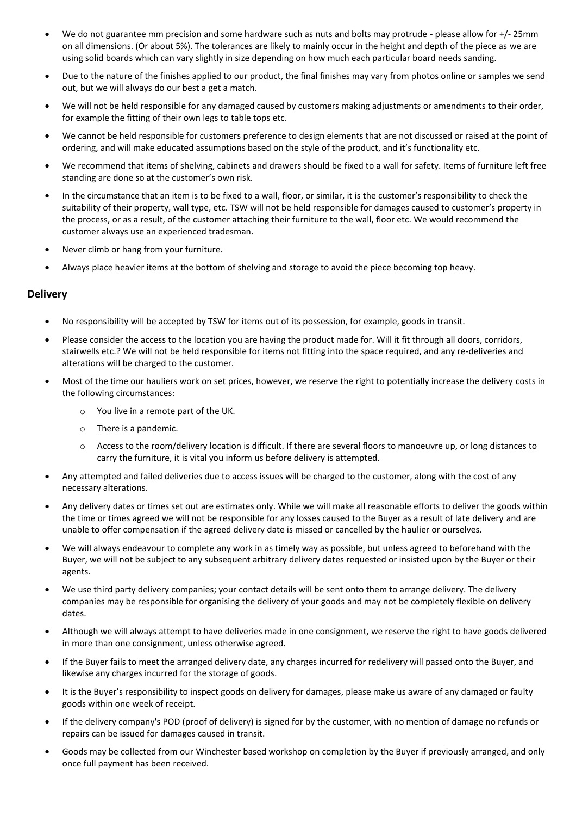- We do not guarantee mm precision and some hardware such as nuts and bolts may protrude please allow for +/- 25mm on all dimensions. (Or about 5%). The tolerances are likely to mainly occur in the height and depth of the piece as we are using solid boards which can vary slightly in size depending on how much each particular board needs sanding.
- Due to the nature of the finishes applied to our product, the final finishes may vary from photos online or samples we send out, but we will always do our best a get a match.
- We will not be held responsible for any damaged caused by customers making adjustments or amendments to their order, for example the fitting of their own legs to table tops etc.
- We cannot be held responsible for customers preference to design elements that are not discussed or raised at the point of ordering, and will make educated assumptions based on the style of the product, and it's functionality etc.
- We recommend that items of shelving, cabinets and drawers should be fixed to a wall for safety. Items of furniture left free standing are done so at the customer's own risk.
- In the circumstance that an item is to be fixed to a wall, floor, or similar, it is the customer's responsibility to check the suitability of their property, wall type, etc. TSW will not be held responsible for damages caused to customer's property in the process, or as a result, of the customer attaching their furniture to the wall, floor etc. We would recommend the customer always use an experienced tradesman.
- Never climb or hang from your furniture.
- Always place heavier items at the bottom of shelving and storage to avoid the piece becoming top heavy.

## **Delivery**

- No responsibility will be accepted by TSW for items out of its possession, for example, goods in transit.
- Please consider the access to the location you are having the product made for. Will it fit through all doors, corridors, stairwells etc.? We will not be held responsible for items not fitting into the space required, and any re-deliveries and alterations will be charged to the customer.
- Most of the time our hauliers work on set prices, however, we reserve the right to potentially increase the delivery costs in the following circumstances:
	- o You live in a remote part of the UK.
	- o There is a pandemic.
	- $\circ$  Access to the room/delivery location is difficult. If there are several floors to manoeuvre up, or long distances to carry the furniture, it is vital you inform us before delivery is attempted.
- Any attempted and failed deliveries due to access issues will be charged to the customer, along with the cost of any necessary alterations.
- Any delivery dates or times set out are estimates only. While we will make all reasonable efforts to deliver the goods within the time or times agreed we will not be responsible for any losses caused to the Buyer as a result of late delivery and are unable to offer compensation if the agreed delivery date is missed or cancelled by the haulier or ourselves.
- We will always endeavour to complete any work in as timely way as possible, but unless agreed to beforehand with the Buyer, we will not be subject to any subsequent arbitrary delivery dates requested or insisted upon by the Buyer or their agents.
- We use third party delivery companies; your contact details will be sent onto them to arrange delivery. The delivery companies may be responsible for organising the delivery of your goods and may not be completely flexible on delivery dates.
- Although we will always attempt to have deliveries made in one consignment, we reserve the right to have goods delivered in more than one consignment, unless otherwise agreed.
- If the Buyer fails to meet the arranged delivery date, any charges incurred for redelivery will passed onto the Buyer, and likewise any charges incurred for the storage of goods.
- It is the Buyer's responsibility to inspect goods on delivery for damages, please make us aware of any damaged or faulty goods within one week of receipt.
- If the delivery company's POD (proof of delivery) is signed for by the customer, with no mention of damage no refunds or repairs can be issued for damages caused in transit.
- Goods may be collected from our Winchester based workshop on completion by the Buyer if previously arranged, and only once full payment has been received.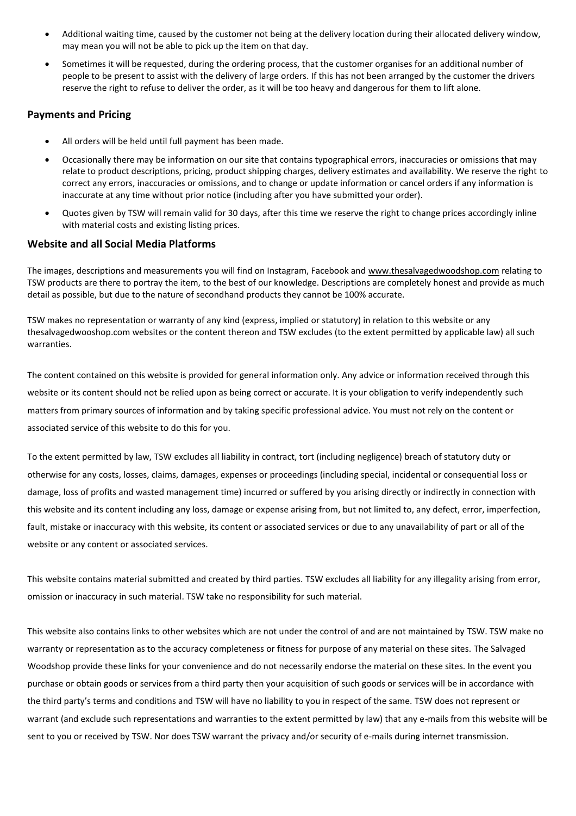- Additional waiting time, caused by the customer not being at the delivery location during their allocated delivery window, may mean you will not be able to pick up the item on that day.
- Sometimes it will be requested, during the ordering process, that the customer organises for an additional number of people to be present to assist with the delivery of large orders. If this has not been arranged by the customer the drivers reserve the right to refuse to deliver the order, as it will be too heavy and dangerous for them to lift alone.

#### **Payments and Pricing**

- All orders will be held until full payment has been made.
- Occasionally there may be information on our site that contains typographical errors, inaccuracies or omissions that may relate to product descriptions, pricing, product shipping charges, delivery estimates and availability. We reserve the right to correct any errors, inaccuracies or omissions, and to change or update information or cancel orders if any information is inaccurate at any time without prior notice (including after you have submitted your order).
- Quotes given by TSW will remain valid for 30 days, after this time we reserve the right to change prices accordingly inline with material costs and existing listing prices.

#### **Website and all Social Media Platforms**

The images, descriptions and measurements you will find on Instagram, Facebook and [www.thesalvagedwoodshop.com](http://www.thesalvagedwoodshop.com/) relating to TSW products are there to portray the item, to the best of our knowledge. Descriptions are completely honest and provide as much detail as possible, but due to the nature of secondhand products they cannot be 100% accurate.

TSW makes no representation or warranty of any kind (express, implied or statutory) in relation to this website or any thesalvagedwooshop.com websites or the content thereon and TSW excludes (to the extent permitted by applicable law) all such warranties.

The content contained on this website is provided for general information only. Any advice or information received through this website or its content should not be relied upon as being correct or accurate. It is your obligation to verify independently such matters from primary sources of information and by taking specific professional advice. You must not rely on the content or associated service of this website to do this for you.

To the extent permitted by law, TSW excludes all liability in contract, tort (including negligence) breach of statutory duty or otherwise for any costs, losses, claims, damages, expenses or proceedings (including special, incidental or consequential loss or damage, loss of profits and wasted management time) incurred or suffered by you arising directly or indirectly in connection with this website and its content including any loss, damage or expense arising from, but not limited to, any defect, error, imperfection, fault, mistake or inaccuracy with this website, its content or associated services or due to any unavailability of part or all of the website or any content or associated services.

This website contains material submitted and created by third parties. TSW excludes all liability for any illegality arising from error, omission or inaccuracy in such material. TSW take no responsibility for such material.

This website also contains links to other websites which are not under the control of and are not maintained by TSW. TSW make no warranty or representation as to the accuracy completeness or fitness for purpose of any material on these sites. The Salvaged Woodshop provide these links for your convenience and do not necessarily endorse the material on these sites. In the event you purchase or obtain goods or services from a third party then your acquisition of such goods or services will be in accordance with the third party's terms and conditions and TSW will have no liability to you in respect of the same. TSW does not represent or warrant (and exclude such representations and warranties to the extent permitted by law) that any e-mails from this website will be sent to you or received by TSW. Nor does TSW warrant the privacy and/or security of e-mails during internet transmission.